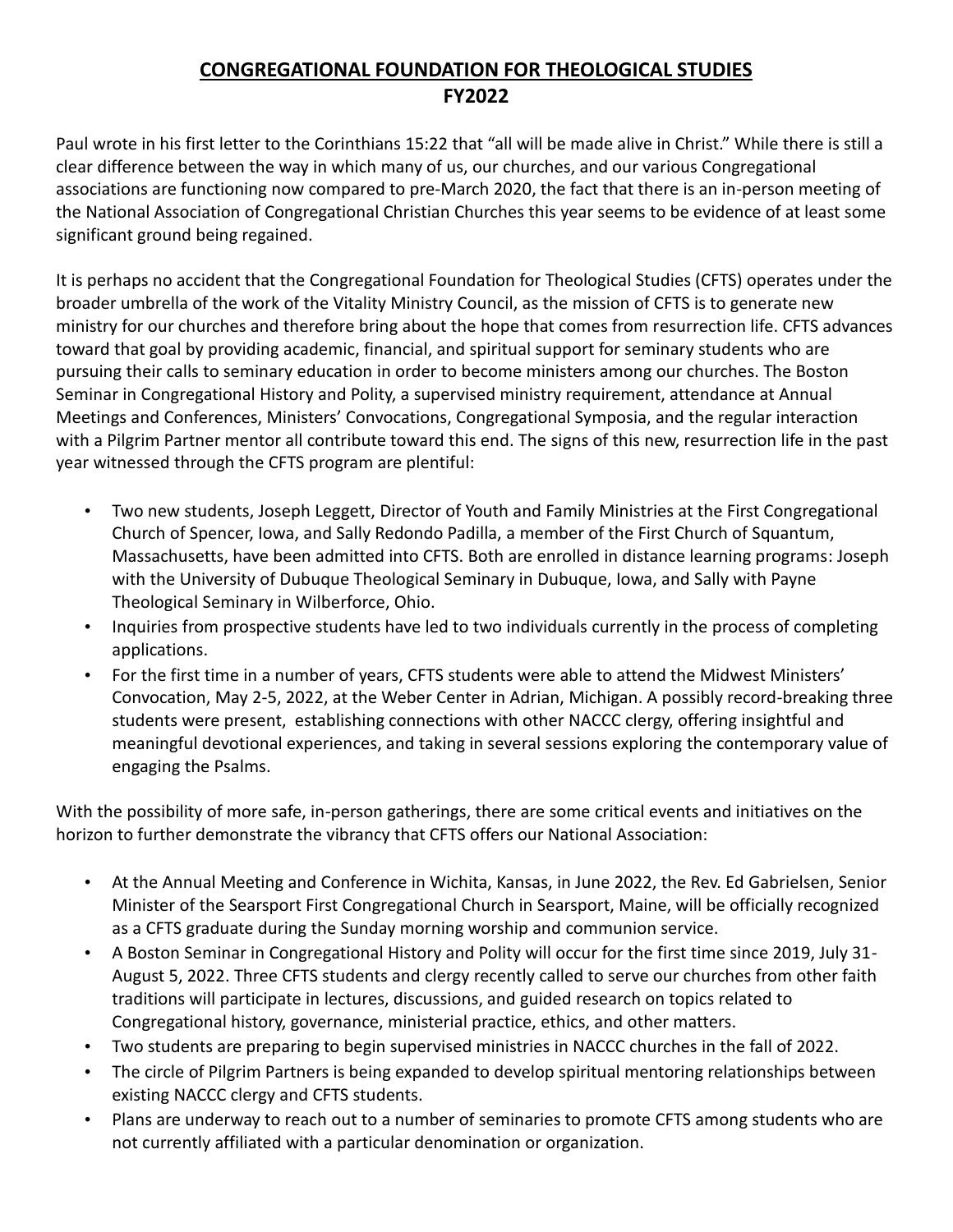## **CONGREGATIONAL FOUNDATION FOR THEOLOGICAL STUDIES FY2022**

Paul wrote in his first letter to the Corinthians 15:22 that "all will be made alive in Christ." While there is still a clear difference between the way in which many of us, our churches, and our various Congregational associations are functioning now compared to pre-March 2020, the fact that there is an in-person meeting of the National Association of Congregational Christian Churches this year seems to be evidence of at least some significant ground being regained.

It is perhaps no accident that the Congregational Foundation for Theological Studies (CFTS) operates under the broader umbrella of the work of the Vitality Ministry Council, as the mission of CFTS is to generate new ministry for our churches and therefore bring about the hope that comes from resurrection life. CFTS advances toward that goal by providing academic, financial, and spiritual support for seminary students who are pursuing their calls to seminary education in order to become ministers among our churches. The Boston Seminar in Congregational History and Polity, a supervised ministry requirement, attendance at Annual Meetings and Conferences, Ministers' Convocations, Congregational Symposia, and the regular interaction with a Pilgrim Partner mentor all contribute toward this end. The signs of this new, resurrection life in the past year witnessed through the CFTS program are plentiful:

- Two new students, Joseph Leggett, Director of Youth and Family Ministries at the First Congregational Church of Spencer, Iowa, and Sally Redondo Padilla, a member of the First Church of Squantum, Massachusetts, have been admitted into CFTS. Both are enrolled in distance learning programs: Joseph with the University of Dubuque Theological Seminary in Dubuque, Iowa, and Sally with Payne Theological Seminary in Wilberforce, Ohio.
- Inquiries from prospective students have led to two individuals currently in the process of completing applications.
- For the first time in a number of years, CFTS students were able to attend the Midwest Ministers' Convocation, May 2-5, 2022, at the Weber Center in Adrian, Michigan. A possibly record-breaking three students were present, establishing connections with other NACCC clergy, offering insightful and meaningful devotional experiences, and taking in several sessions exploring the contemporary value of engaging the Psalms.

With the possibility of more safe, in-person gatherings, there are some critical events and initiatives on the horizon to further demonstrate the vibrancy that CFTS offers our National Association:

- At the Annual Meeting and Conference in Wichita, Kansas, in June 2022, the Rev. Ed Gabrielsen, Senior Minister of the Searsport First Congregational Church in Searsport, Maine, will be officially recognized as a CFTS graduate during the Sunday morning worship and communion service.
- A Boston Seminar in Congregational History and Polity will occur for the first time since 2019, July 31- August 5, 2022. Three CFTS students and clergy recently called to serve our churches from other faith traditions will participate in lectures, discussions, and guided research on topics related to Congregational history, governance, ministerial practice, ethics, and other matters.
- Two students are preparing to begin supervised ministries in NACCC churches in the fall of 2022.
- The circle of Pilgrim Partners is being expanded to develop spiritual mentoring relationships between existing NACCC clergy and CFTS students.
- Plans are underway to reach out to a number of seminaries to promote CFTS among students who are not currently affiliated with a particular denomination or organization.